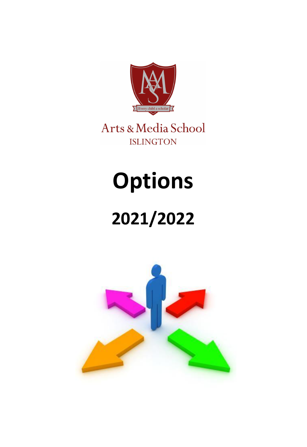

Arts & Media School **ISLINGTON** 

# **Options**

# **2021/2022**

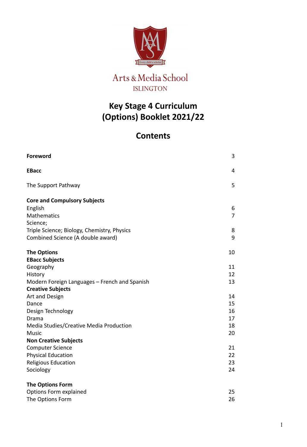

### **Key Stage 4 Curriculum (Options) Booklet 2021/22**

### **Contents**

| <b>Foreword</b>                                         | 3                   |
|---------------------------------------------------------|---------------------|
| <b>EBacc</b>                                            | $\overline{4}$      |
| The Support Pathway                                     | 5                   |
| <b>Core and Compulsory Subjects</b>                     |                     |
| English<br>Mathematics                                  | 6<br>$\overline{7}$ |
| Science;<br>Triple Science; Biology, Chemistry, Physics | 8                   |
| Combined Science (A double award)                       | 9                   |
| <b>The Options</b>                                      | 10                  |
| <b>EBacc Subjects</b>                                   |                     |
| Geography                                               | 11                  |
| History                                                 | 12                  |
| Modern Foreign Languages - French and Spanish           | 13                  |
| <b>Creative Subjects</b>                                |                     |
| Art and Design                                          | 14                  |
| Dance                                                   | 15<br>16            |
| Design Technology<br>Drama                              | 17                  |
| Media Studies/Creative Media Production                 | 18                  |
| <b>Music</b>                                            | 20                  |
| <b>Non Creative Subjects</b>                            |                     |
| <b>Computer Science</b>                                 | 21                  |
| <b>Physical Education</b>                               | 22                  |
| Religious Education                                     | 23                  |
| Sociology                                               | 24                  |
| <b>The Options Form</b>                                 |                     |
| Options Form explained                                  | 25                  |
| The Options Form                                        | 26                  |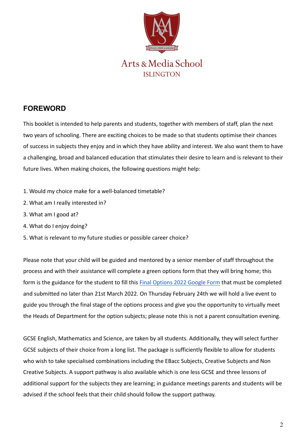

### Arts & Media School **ISLINGTON**

### **FOREWORD**

This booklet is intended to help parents and students, together with members of staff, plan the next two years of schooling. There are exciting choices to be made so that students optimise their chances of success in subjects they enjoy and in which they have ability and interest. We also want them to have a challenging, broad and balanced education that stimulates their desire to learn and is relevant to their future lives. When making choices, the following questions might help:

- 1. Would my choice make for a well-balanced timetable?
- 2. What am I really interested in?
- 3. What am I good at?
- 4. What do I enjoy doing?
- 5. What is relevant to my future studies or possible career choice?

Please note that your child will be guided and mentored by a senior member of staff throughout the process and with their assistance will complete a green options form that they will bring home; this form is the guidance for the student to fill this [Final Options 2022 Google Form](https://docs.google.com/forms/d/e/1FAIpQLSd5Y8u-KdogmsA3_cVM_qjdSdtDq0aFxx9PIkus1_aauW8OTg/viewform?usp=sf_link) that must be completed and submitted no later than 21st March 2022. On Thursday February 24th we will hold a live event to guide you through the final stage of the options process and give you the opportunity to virtually meet the Heads of Department for the option subjects; please note this is not a parent consultation evening.

GCSE English, Mathematics and Science, are taken by all students. Additionally, they will select further GCSE subjects of their choice from a long list. The package is sufficiently flexible to allow for students who wish to take specialised combinations including the EBacc Subjects, Creative Subjects and Non Creative Subjects. A support pathway is also available which is one less GCSE and three lessons of additional support for the subjects they are learning; in guidance meetings parents and students will be advised if the school feels that their child should follow the support pathway.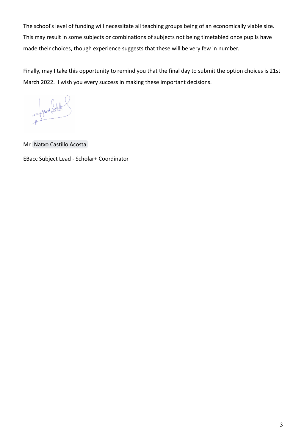The school's level of funding will necessitate all teaching groups being of an economically viable size. This may result in some subjects or combinations of subjects not being timetabled once pupils have made their choices, though experience suggests that these will be very few in number.

Finally, may I take this opportunity to remind you that the final day to submit the option choices is 21st March 2022. I wish you every success in making these important decisions.

Semilarly Contribute

Mr [Natxo Castillo Acosta](mailto:i.castillo.acosta@amsi.school)

EBacc Subject Lead - Scholar+ Coordinator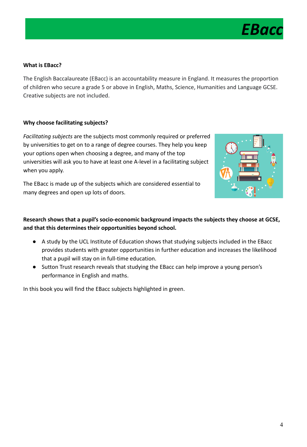

### **What is EBacc?**

The English Baccalaureate (EBacc) is an accountability measure in England. It measures the proportion of children who secure a grade 5 or above in English, Maths, Science, Humanities and Language GCSE. Creative subjects are not included.

### **Why choose facilitating subjects?**

*Facilitating subjects* are the subjects most commonly required or preferred by universities to get on to a range of degree courses. They help you keep your options open when choosing a degree, and many of the top universities will ask you to have at least one A-level in a facilitating subject when you apply.

The EBacc is made up of the subjects which are considered essential to many degrees and open up lots of doors.



### **Research shows that a pupil's socio-economic background impacts the subjects they choose at GCSE, and that this determines their opportunities beyond school.**

- A study by the UCL Institute of Education shows that studying subjects included in the EBacc provides students with greater opportunities in further education and increases the likelihood that a pupil will stay on in full-time education.
- Sutton Trust research reveals that studying the EBacc can help improve a young person's performance in English and maths.

In this book you will find the EBacc subjects highlighted in green.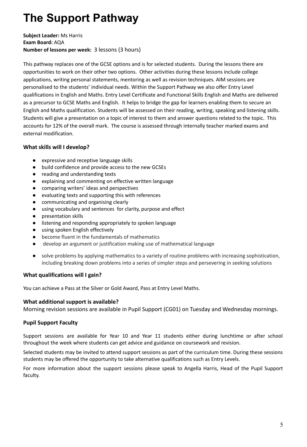### **The Support Pathway**

### **Subject Leader:** Ms Harris **Exam Board:** AQA **Number of lessons per week:** 3 lessons (3 hours)

This pathway replaces one of the GCSE options and is for selected students. During the lessons there are opportunities to work on their other two options. Other activities during these lessons include college applications, writing personal statements, mentoring as well as revision techniques. AIM sessions are personalised to the students' individual needs. Within the Support Pathway we also offer Entry Level qualifications in English and Maths. Entry Level Certificate and Functional Skills English and Maths are delivered as a precursor to GCSE Maths and English. It helps to bridge the gap for learners enabling them to secure an English and Maths qualification. Students will be assessed on their reading, writing, speaking and listening skills. Students will give a presentation on a topic of interest to them and answer questions related to the topic. This accounts for 12% of the overall mark. The course is assessed through internally teacher marked exams and external modification.

### **What skills will I develop?**

- expressive and receptive language skills
- build confidence and provide access to the new GCSEs
- reading and understanding texts
- explaining and commenting on effective written language
- comparing writers' ideas and perspectives
- evaluating texts and supporting this with references
- communicating and organising clearly
- using vocabulary and sentences for clarity, purpose and effect
- presentation skills
- listening and responding appropriately to spoken language
- using spoken English effectively
- become fluent in the fundamentals of mathematics
- develop an argument or justification making use of mathematical language
- solve problems by applying mathematics to a variety of routine problems with increasing sophistication, including breaking down problems into a series of simpler steps and persevering in seeking solutions

### **What qualifications will I gain?**

You can achieve a Pass at the Silver or Gold Award, Pass at Entry Level Maths.

### **What additional support is available?**

Morning revision sessions are available in Pupil Support (CG01) on Tuesday and Wednesday mornings.

### **Pupil Support Faculty**

Support sessions are available for Year 10 and Year 11 students either during lunchtime or after school throughout the week where students can get advice and guidance on coursework and revision.

Selected students may be invited to attend support sessions as part of the curriculum time. During these sessions students may be offered the opportunity to take alternative qualifications such as Entry Levels.

For more information about the support sessions please speak to Angella Harris, Head of the Pupil Support faculty.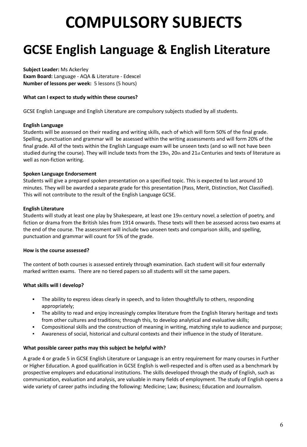## **COMPULSORY SUBJECTS**

## **GCSE English Language & English Literature**

**Subject Leader:** Ms Ackerley **Exam Board:** Language - AQA & Literature - Edexcel **Number of lessons per week:** 5 lessons (5 hours)

### **What can I expect to study within these courses?**

GCSE English Language and English Literature are compulsory subjects studied by all students.

### **English Language**

Students will be assessed on their reading and writing skills, each of which will form 50% of the final grade. Spelling, punctuation and grammar will be assessed within the writing assessments and will form 20% of the final grade. All of the texts within the English Language exam will be unseen texts (and so will not have been studied during the course). They will include texts from the 19th, 20th and  $21$ st Centuries and texts of literature as well as non-fiction writing.

### **Spoken Language Endorsement**

Students will give a prepared spoken presentation on a specified topic. This is expected to last around 10 minutes. They will be awarded a separate grade for this presentation (Pass, Merit, Distinction, Not Classified). This will not contribute to the result of the English Language GCSE.

### **English Literature**

Students will study at least one play by Shakespeare, at least one 19th century novel, a selection of poetry, and fiction or drama from the British Isles from 1914 onwards. These texts will then be assessed across two exams at the end of the course. The assessment will include two unseen texts and comparison skills, and spelling, punctuation and grammar will count for 5% of the grade.

### **How is the course assessed?**

The content of both courses is assessed entirely through examination. Each student will sit four externally marked written exams. There are no tiered papers so all students will sit the same papers.

### **What skills will I develop?**

- **•** The ability to express ideas clearly in speech, and to listen thoughtfully to others, responding appropriately;
- The ability to read and enjoy increasingly complex literature from the English literary heritage and texts from other cultures and traditions; through this, to develop analytical and evaluative skills;
- Compositional skills and the construction of meaning in writing, matching style to audience and purpose;
- Awareness of social, historical and cultural contexts and their influence in the study of literature.

### **What possible career paths may this subject be helpful with?**

A grade 4 or grade 5 in GCSE English Literature or Language is an entry requirement for many courses in Further or Higher Education. A good qualification in GCSE English is well-respected and is often used as a benchmark by prospective employers and educational institutions. The skills developed through the study of English, such as communication, evaluation and analysis, are valuable in many fields of employment. The study of English opens a wide variety of career paths including the following: Medicine; Law; Business; Education and Journalism.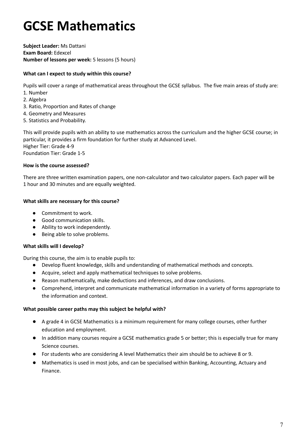## **GCSE Mathematics**

**Subject Leader:** Ms Dattani **Exam Board:** Edexcel **Number of lessons per week:** 5 lessons (5 hours)

### **What can I expect to study within this course?**

Pupils will cover a range of mathematical areas throughout the GCSE syllabus. The five main areas of study are:

- 1. Number
- 2. Algebra
- 3. Ratio, Proportion and Rates of change
- 4. Geometry and Measures
- 5. Statistics and Probability.

This will provide pupils with an ability to use mathematics across the curriculum and the higher GCSE course; in particular, it provides a firm foundation for further study at Advanced Level. Higher Tier: Grade 4-9 Foundation Tier: Grade 1-5

### **How is the course assessed?**

There are three written examination papers, one non-calculator and two calculator papers. Each paper will be 1 hour and 30 minutes and are equally weighted.

### **What skills are necessary for this course?**

- Commitment to work.
- Good communication skills.
- Ability to work independently.
- Being able to solve problems.

### **What skills will I develop?**

During this course, the aim is to enable pupils to:

- Develop fluent knowledge, skills and understanding of mathematical methods and concepts.
- Acquire, select and apply mathematical techniques to solve problems.
- Reason mathematically, make deductions and inferences, and draw conclusions.
- Comprehend, interpret and communicate mathematical information in a variety of forms appropriate to the information and context.

### **What possible career paths may this subject be helpful with?**

- A grade 4 in GCSE Mathematics is a minimum requirement for many college courses, other further education and employment.
- In addition many courses require a GCSE mathematics grade 5 or better; this is especially true for many Science courses.
- For students who are considering A level Mathematics their aim should be to achieve 8 or 9.
- Mathematics is used in most jobs, and can be specialised within Banking, Accounting, Actuary and Finance.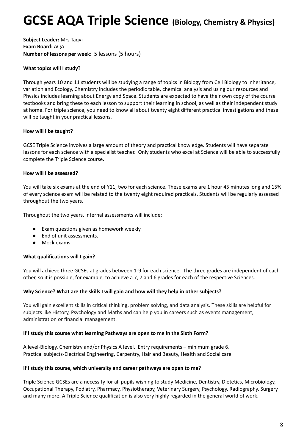## **GCSE AQA Triple Science (Biology, Chemistry & Physics)**

**Subject Leader:** Mrs Taqvi **Exam Board:** AQA **Number of lessons per week:** 5 lessons (5 hours)

### **What topics will I study?**

Through years 10 and 11 students will be studying a range of topics in Biology from Cell Biology to inheritance, variation and Ecology, Chemistry includes the periodic table, chemical analysis and using our resources and Physics includes learning about Energy and Space. Students are expected to have their own copy of the course textbooks and bring these to each lesson to support their learning in school, as well as their independent study at home. For triple science, you need to know all about twenty eight different practical investigations and these will be taught in your practical lessons.

### **How will I be taught?**

GCSE Triple Science involves a large amount of theory and practical knowledge. Students will have separate lessons for each science with a specialist teacher. Only students who excel at Science will be able to successfully complete the Triple Science course.

### **How will I be assessed?**

You will take six exams at the end of Y11, two for each science. These exams are 1 hour 45 minutes long and 15% of every science exam will be related to the twenty eight required practicals. Students will be regularly assessed throughout the two years.

Throughout the two years, internal assessments will include:

- Exam questions given as homework weekly.
- End of unit assessments.
- Mock exams

### **What qualifications will I gain?**

You will achieve three GCSEs at grades between 1-9 for each science. The three grades are independent of each other, so it is possible, for example, to achieve a 7, 7 and 6 grades for each of the respective Sciences.

### **Why Science? What are the skills I will gain and how will they help in other subjects?**

You will gain excellent skills in critical thinking, problem solving, and data analysis. These skills are helpful for subjects like History, Psychology and Maths and can help you in careers such as events management, administration or financial management.

### **If I study this course what learning Pathways are open to me in the Sixth Form?**

A level-Biology, Chemistry and/or Physics A level. Entry requirements – minimum grade 6. Practical subjects-Electrical Engineering, Carpentry, Hair and Beauty, Health and Social care

### **If I study this course, which university and career pathways are open to me?**

Triple Science GCSEs are a necessity for all pupils wishing to study Medicine, Dentistry, Dietetics, Microbiology, Occupational Therapy, Podiatry, Pharmacy, Physiotherapy, Veterinary Surgery, Psychology, Radiography, Surgery and many more. A Triple Science qualification is also very highly regarded in the general world of work.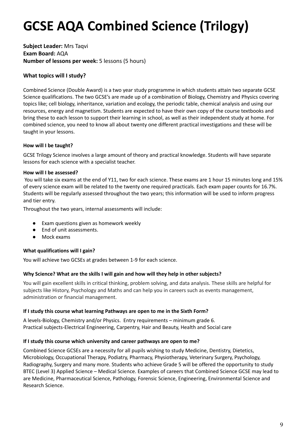## **GCSE AQA Combined Science (Trilogy)**

**Subject Leader:** Mrs Taqvi **Exam Board:** AQA **Number of lessons per week:** 5 lessons (5 hours)

### **What topics will I study?**

Combined Science (Double Award) is a two year study programme in which students attain two separate GCSE Science qualifications. The two GCSE's are made up of a combination of Biology, Chemistry and Physics covering topics like; cell biology, inheritance, variation and ecology, the periodic table, chemical analysis and using our resources, energy and magnetism. Students are expected to have their own copy of the course textbooks and bring these to each lesson to support their learning in school, as well as their independent study at home. For combined science, you need to know all about twenty one different practical investigations and these will be taught in your lessons.

### **How will I be taught?**

GCSE Trilogy Science involves a large amount of theory and practical knowledge. Students will have separate lessons for each science with a specialist teacher.

### **How will I be assessed?**

You will take six exams at the end of Y11, two for each science. These exams are 1 hour 15 minutes long and 15% of every science exam will be related to the twenty one required practicals. Each exam paper counts for 16.7%. Students will be regularly assessed throughout the two years; this information will be used to inform progress and tier entry.

Throughout the two years, internal assessments will include:

- Exam questions given as homework weekly
- End of unit assessments.
- Mock exams

### **What qualifications will I gain?**

You will achieve two GCSEs at grades between 1-9 for each science.

### **Why Science? What are the skills I will gain and how will they help in other subjects?**

You will gain excellent skills in critical thinking, problem solving, and data analysis. These skills are helpful for subjects like History, Psychology and Maths and can help you in careers such as events management, administration or financial management.

### **If I study this course what learning Pathways are open to me in the Sixth Form?**

A levels-Biology, Chemistry and/or Physics. Entry requirements – minimum grade 6. Practical subjects-Electrical Engineering, Carpentry, Hair and Beauty, Health and Social care

### **If I study this course which university and career pathways are open to me?**

Combined Science GCSEs are a necessity for all pupils wishing to study Medicine, Dentistry, Dietetics, Microbiology, Occupational Therapy, Podiatry, Pharmacy, Physiotherapy, Veterinary Surgery, Psychology, Radiography, Surgery and many more. Students who achieve Grade 5 will be offered the opportunity to study BTEC (Level 3) Applied Science – Medical Science. Examples of careers that Combined Science GCSE may lead to are Medicine, Pharmaceutical Science, Pathology, Forensic Science, Engineering, Environmental Science and Research Science.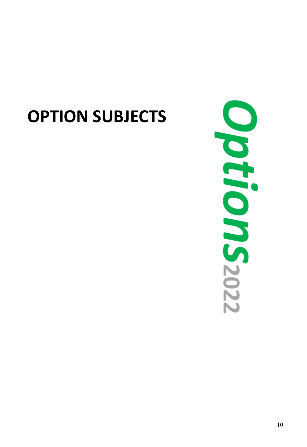# **OPTION SUBJECTS**

 $\blacktriangleright$ tron S<sub>2022</sub>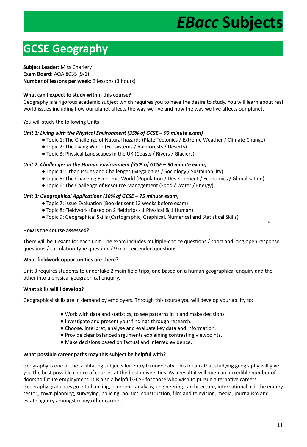## $EBacc$  Subjects

### **GCSE Geography \_\_\_\_\_\_\_\_\_\_\_\_\_\_\_\_\_\_\_\_\_\_\_\_\_\_\_\_**

### **Subject Leader:** Miss Charlery

**Exam Board:** AQA 8035 (9-1) **Number of lessons per week:** 3 lessons (3 hours)

### **What can I expect to study within this course?**

Geography is a rigorous academic subject which requires you to have the desire to study. You will learn about real world issues including how our planet affects the way we live and how the way we live affects our planet.

You will study the following Units:

### *Unit 1: Living with the Physical Environment (35% of GCSE – 90 minute exam)*

- Topic 1: The Challenge of Natural hazards (Plate Tectonics / Extreme Weather / Climate Change)
- Topic 2: The Living World (Ecosystems / Rainforests / Deserts)
- Topic 3: Physical Landscapes in the UK (Coasts / Rivers / Glaciers)

### *Unit 2: Challenges in the Human Environment (35% of GCSE – 90 minute exam)*

- Topic 4: Urban Issues and Challenges (Mega cities / Sociology / Sustainability)
- Topic 5: The Changing Economic World (Population / Development / Economics / Globalisation)
- Topic 6: The Challenge of Resource Management (Food / Water / Energy)

### *Unit 3: Geographical Applications (30% of GCSE – 75 minute exam)*

- Topic 7: Issue Evaluation (Booklet sent 12 weeks before exam)
- Topic 8: Fieldwork (Based on 2 fieldtrips 1 Physical & 1 Human)
- Topic 9: Geographical Skills (Cartographic, Graphical, Numerical and Statistical Skills)

### **How is the course assessed?**

There will be 1 exam for each unit. The exam includes multiple-choice questions / short and long open response questions / calculation-type questions/ 9 mark extended questions.

### **What fieldwork opportunities are there?**

Unit 3 requires students to undertake 2 main field trips, one based on a human geographical enquiry and the other into a physical geographical enquiry.

### **What skills will I develop?**

Geographical skills are in demand by employers. Through this course you will develop your ability to:

- Work with data and statistics, to see patterns in it and make decisions.
- Investigate and present your findings through research.
- Choose, interpret, analyse and evaluate key data and information.
- Provide clear balanced arguments explaining contrasting viewpoints.
- Make decisions based on factual and inferred evidence.

### **What possible career paths may this subject be helpful with?**

Geography is one of the facilitating subjects for entry to university. This means that studying geography will give you the best possible choice of courses at the best universities. As a result it will open an incredible number of doors to future employment. It is also a helpful GCSE for those who wish to pursue alternative careers. Geography graduates go into banking, economic analysis, engineering, architecture, international aid, the energy sector,, town planning, surveying, policing, politics, construction, film and television, media, journalism and estate agency amongst many other careers.

 $\Box$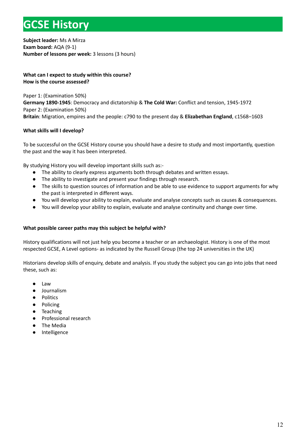### **GCSE History \_\_\_\_\_\_\_\_\_\_\_\_\_\_\_\_\_\_\_\_\_\_\_\_\_\_\_\_\_\_\_**

**Subject leader:** Ms A Mirza **Exam board:** AQA (9-1) **Number of lessons per week:** 3 lessons (3 hours)

### **What can I expect to study within this course? How is the course assessed?**

Paper 1: (Examination 50%) **Germany 1890-1945**: Democracy and dictatorship & **The Cold War:** Conflict and tension, 1945-1972 Paper 2: (Examination 50%) **Britain**: Migration, empires and the people: c790 to the present day & **Elizabethan England**, c1568–1603

### **What skills will I develop?**

To be successful on the GCSE History course you should have a desire to study and most importantly, question the past and the way it has been interpreted.

By studying History you will develop important skills such as:-

- The ability to clearly express arguments both through debates and written essays.
- The ability to investigate and present your findings through research.
- The skills to question sources of information and be able to use evidence to support arguments for why the past is interpreted in different ways.
- You will develop your ability to explain, evaluate and analyse concepts such as causes & consequences.
- You will develop your ability to explain, evaluate and analyse continuity and change over time.

### **What possible career paths may this subject be helpful with?**

History qualifications will not just help you become a teacher or an archaeologist. History is one of the most respected GCSE, A Level options- as indicated by the Russell Group (the top 24 universities in the UK)

Historians develop skills of enquiry, debate and analysis. If you study the subject you can go into jobs that need these, such as:

- Law
- Journalism
- Politics
- Policing
- Teaching
- Professional research
- The Media
- Intelligence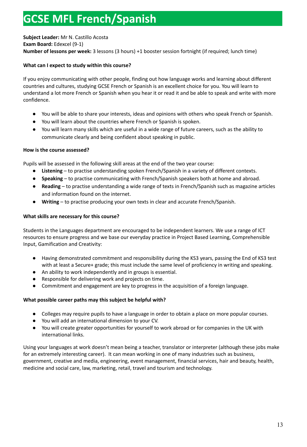### **GCSE MFL French/Spanish \_\_\_\_\_\_\_\_\_\_\_\_\_\_\_\_\_\_\_\_**

**Subject Leader:** Mr N. Castillo Acosta **Exam Board:** Edexcel (9-1) **Number of lessons per week:** 3 lessons (3 hours) +1 booster session fortnight (if required; lunch time)

### **What can I expect to study within this course?**

If you enjoy communicating with other people, finding out how language works and learning about different countries and cultures, studying GCSE French or Spanish is an excellent choice for you. You will learn to understand a lot more French or Spanish when you hear it or read it and be able to speak and write with more confidence.

- You will be able to share your interests, ideas and opinions with others who speak French or Spanish.
- You will learn about the countries where French or Spanish is spoken.
- You will learn many skills which are useful in a wide range of future careers, such as the ability to communicate clearly and being confident about speaking in public.

### **How is the course assessed?**

Pupils will be assessed in the following skill areas at the end of the two year course:

- **Listening** to practise understanding spoken French/Spanish in a variety of different contexts.
- **Speaking** to practise communicating with French/Spanish speakers both at home and abroad.
- **Reading** to practise understanding a wide range of texts in French/Spanish such as magazine articles and information found on the internet.
- Writing to practise producing your own texts in clear and accurate French/Spanish.

### **What skills are necessary for this course?**

Students in the Languages department are encouraged to be independent learners. We use a range of ICT resources to ensure progress and we base our everyday practice in Project Based Learning, Comprehensible Input, Gamification and Creativity:

- Having demonstrated commitment and responsibility during the KS3 years, passing the End of KS3 test with at least a Secure+ grade; this must include the same level of proficiency in writing and speaking.
- An ability to work independently and in groups is essential.
- Responsible for delivering work and projects on time.
- Commitment and engagement are key to progress in the acquisition of a foreign language.

### **What possible career paths may this subject be helpful with?**

- Colleges may require pupils to have a language in order to obtain a place on more popular courses.
- You will add an international dimension to your CV.
- You will create greater opportunities for yourself to work abroad or for companies in the UK with international links.

Using your languages at work doesn't mean being a teacher, translator or interpreter (although these jobs make for an extremely interesting career). It can mean working in one of many industries such as business, government, creative and media, engineering, event management, financial services, hair and beauty, health, medicine and social care, law, marketing, retail, travel and tourism and technology.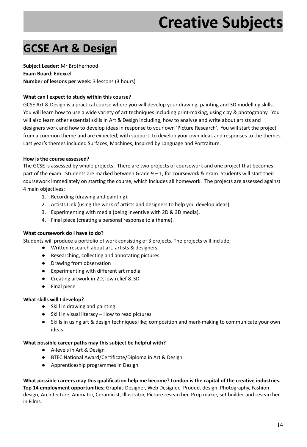## **\_\_\_\_\_\_\_\_\_\_\_\_\_\_ Creative Subjects**

### **GCSE Art & Design**

**Subject Leader:** Mr Brotherhood **Exam Board: Edexcel Number of lessons per week:** 3 lessons (3 hours)

### **What can I expect to study within this course?**

GCSE Art & Design is a practical course where you will develop your drawing, painting and 3D modelling skills. You will learn how to use a wide variety of art techniques including print-making, using clay & photography. You will also learn other essential skills in Art & Design including, how to analyse and write about artists and designers work and how to develop ideas in response to your own 'Picture Research'. You will start the project from a common theme and are expected, with support, to develop your own ideas and responses to the themes. Last year's themes included Surfaces, Machines, Inspired by Language and Portraiture.

### **How is the course assessed?**

The GCSE is assessed by whole projects. There are two projects of coursework and one project that becomes part of the exam. Students are marked between Grade 9 – 1, for coursework & exam. Students will start their coursework immediately on starting the course, which includes all homework. The projects are assessed against 4 main objectives:

- 1. Recording (drawing and painting).
- 2. Artists Link (using the work of artists and designers to help you develop ideas).
- 3. Experimenting with media (being inventive with 2D & 3D media).
- 4. Final piece (creating a personal response to a theme).

### **What coursework do I have to do?**

Students will produce a portfolio of work consisting of 3 projects. The projects will include;

- Written research about art, artists & designers.
- Researching, collecting and annotating pictures
- Drawing from observation
- Experimenting with different art media
- Creating artwork in 2D, low relief & 3D
- Final piece

### **What skills will I develop?**

- Skill in drawing and painting
- Skill in visual literacy How to read pictures.
- Skills in using art & design techniques like; composition and mark-making to communicate your own ideas.

### **What possible career paths may this subject be helpful with?**

- A-levels in Art & Design
- BTEC National Award/Certificate/Diploma in Art & Design
- Apprenticeship programmes in Design

What possible careers may this qualification help me become? London is the capital of the creative industries. **Top 14 employment opportunities;** Graphic Designer, Web Designer, Product design, Photography, Fashion design, Architecture, Animator, Ceramicist, Illustrator, Picture researcher, Prop maker, set builder and researcher in Films.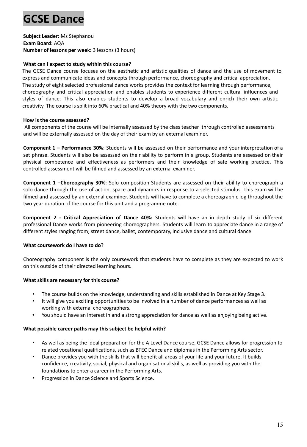### **GCSE Dance**

**Subject Leader:** Ms Stephanou **Exam Board:** AQA **Number of lessons per week:** 3 lessons (3 hours)

### **What can I expect to study within this course?**

The GCSE Dance course focuses on the aesthetic and artistic qualities of dance and the use of movement to express and communicate ideas and concepts through performance, choreography and critical appreciation. The study of eight selected professional dance works provides the context for learning through performance, choreography and critical appreciation and enables students to experience different cultural influences and styles of dance. This also enables students to develop a broad vocabulary and enrich their own artistic creativity. The course is split into 60% practical and 40% theory with the two components.

### **How is the course assessed?**

All components of the course will be internally assessed by the class teacher through controlled assessments and will be externally assessed on the day of their exam by an external examiner.

**Component 1 – Performance 30%**: Students will be assessed on their performance and your interpretation of a set phrase. Students will also be assessed on their ability to perform in a group. Students are assessed on their physical competence and effectiveness as performers and their knowledge of safe working practice. This controlled assessment will be filmed and assessed by an external examiner.

**Component 1 –Choreography 30%**: Solo composition-Students are assessed on their ability to choreograph a solo dance through the use of action, space and dynamics in response to a selected stimulus. This exam will be filmed and assessed by an external examiner. Students will have to complete a choreographic log throughout the two year duration of the course for this unit and a programme note.

**Component 2 - Critical Appreciation of Dance 40%:** Students will have an in depth study of six different professional Dance works from pioneering choreographers. Students will learn to appreciate dance in a range of different styles ranging from; street dance, ballet, contemporary, inclusive dance and cultural dance.

### **What coursework do I have to do?**

Choreography component is the only coursework that students have to complete as they are expected to work on this outside of their directed learning hours.

### **What skills are necessary for this course?**

- The course builds on the knowledge, understanding and skills established in Dance at Key Stage 3.
- It will give you exciting opportunities to be involved in a number of dance performances as well as working with external choreographers.
- **•** You should have an interest in and a strong appreciation for dance as well as enjoying being active.

### **What possible career paths may this subject be helpful with?**

- As well as being the ideal preparation for the A Level Dance course, GCSE Dance allows for progression to related vocational qualifications, such as BTEC Dance and diplomas in the Performing Arts sector.
- Dance provides you with the skills that will benefit all areas of your life and your future. It builds confidence, creativity, social, physical and organisational skills, as well as providing you with the foundations to enter a career in the Performing Arts.
- Progression in Dance Science and Sports Science.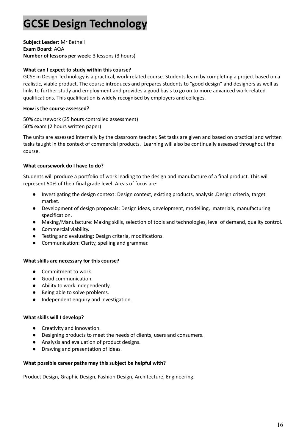### **GCSE Design Technology**

**Subject Leader:** Mr Bethell **Exam Board:** AQA **Number of lessons per week**: 3 lessons (3 hours)

### **What can I expect to study within this course?**

GCSE in Design Technology is a practical, work-related course. Students learn by completing a project based on a realistic, viable product. The course introduces and prepares students to "good design" and designers as well as links to further study and employment and provides a good basis to go on to more advanced work-related qualifications. This qualification is widely recognised by employers and colleges.

### **How is the course assessed?**

50% coursework (35 hours controlled assessment) 50% exam (2 hours written paper)

The units are assessed internally by the classroom teacher. Set tasks are given and based on practical and written tasks taught in the context of commercial products. Learning will also be continually assessed throughout the course.

### **What coursework do I have to do?**

Students will produce a portfolio of work leading to the design and manufacture of a final product. This will represent 50% of their final grade level. Areas of focus are:

- Investigating the design context: Design context, existing products, analysis ,Design criteria, target market.
- Development of design proposals: Design ideas, development, modelling, materials, manufacturing specification.
- Making/Manufacture: Making skills, selection of tools and technologies, level of demand, quality control.
- Commercial viability.
- Testing and evaluating: Design criteria, modifications.
- Communication: Clarity, spelling and grammar.

### **What skills are necessary for this course?**

- Commitment to work.
- Good communication.
- Ability to work independently.
- Being able to solve problems.
- Independent enquiry and investigation.

### **What skills will I develop?**

- Creativity and innovation.
- Designing products to meet the needs of clients, users and consumers.
- Analysis and evaluation of product designs.
- Drawing and presentation of ideas.

### **What possible career paths may this subject be helpful with?**

Product Design, Graphic Design, Fashion Design, Architecture, Engineering.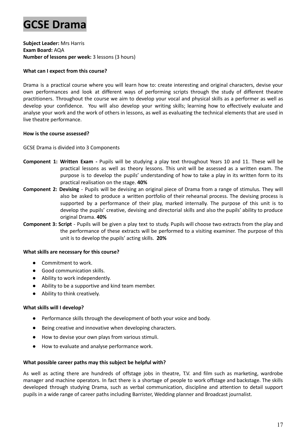### **GCSE Drama**

**Subject Leader:** Mrs Harris **Exam Board:** AQA **Number of lessons per week:** 3 lessons (3 hours)

### **What can I expect from this course?**

Drama is a practical course where you will learn how to: create interesting and original characters, devise your own performances and look at different ways of performing scripts through the study of different theatre practitioners. Throughout the course we aim to develop your vocal and physical skills as a performer as well as develop your confidence. You will also develop your writing skills; learning how to effectively evaluate and analyse your work and the work of others in lessons, as well as evaluating the technical elements that are used in live theatre performance.

### **How is the course assessed?**

GCSE Drama is divided into 3 Components

- **Component 1: Written Exam -** Pupils will be studying a play text throughout Years 10 and 11. These will be practical lessons as well as theory lessons. This unit will be assessed as a written exam. The purpose is to develop the pupils' understanding of how to take a play in its written form to its practical realisation on the stage. **40%**
- **Component 2: Devising** Pupils will be devising an original piece of Drama from a range of stimulus. They will also be asked to produce a written portfolio of their rehearsal process. The devising process is supported by a performance of their play, marked internally. The purpose of this unit is to develop the pupils' creative, devising and directorial skills and also the pupils' ability to produce original Drama. **40%**
- **Component 3: Script** Pupils will be given a play text to study. Pupils will choose two extracts from the play and the performance of these extracts will be performed to a visiting examiner. The purpose of this unit is to develop the pupils' acting skills. **20%**

### **What skills are necessary for this course?**

- Commitment to work.
- Good communication skills.
- Ability to work independently.
- Ability to be a supportive and kind team member.
- **●** Ability to think creatively.

### **What skills will I develop?**

- Performance skills through the development of both your voice and body.
- Being creative and innovative when developing characters.
- How to devise your own plays from various stimuli.
- How to evaluate and analyse performance work.

### **What possible career paths may this subject be helpful with?**

As well as acting there are hundreds of offstage jobs in theatre, T.V. and film such as marketing, wardrobe manager and machine operators. In fact there is a shortage of people to work offstage and backstage. The skills developed through studying Drama, such as verbal communication, discipline and attention to detail support pupils in a wide range of career paths including Barrister, Wedding planner and Broadcast journalist.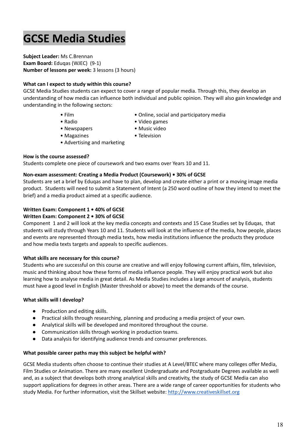### **GCSE Media Studies**

**Subject Leader:** Ms C.Brennan **Exam Board:** Eduqas (WJEC) (9-1) **Number of lessons per week:** 3 lessons (3 hours)

### **What can I expect to study within this course?**

GCSE Media Studies students can expect to cover a range of popular media. Through this, they develop an understanding of how media can influence both individual and public opinion. They will also gain knowledge and understanding in the following sectors:

- 
- Film Online, social and participatory media
- Radio Video games
- Newspapers Music video
	-
- Magazines Television • Advertising and marketing
	-

### **How is the course assessed?**

Students complete one piece of coursework and two exams over Years 10 and 11.

### **Non-exam assessment: Creating a Media Product (Coursework) • 30% of GCSE**

Students are set a brief by Eduqas and have to plan, develop and create either a print or a moving image media product. Students will need to submit a Statement of Intent (a 250 word outline of how they intend to meet the brief) and a media product aimed at a specific audience.

### **Written Exam: Component 1 • 40% of GCSE**

### **Written Exam: Component 2 • 30% of GCSE**

Component 1 and 2 will look at the key media concepts and contexts and 15 Case Studies set by Eduqas, that students will study through Years 10 and 11. Students will look at the influence of the media, how people, places and events are represented through media texts, how media institutions influence the products they produce and how media texts targets and appeals to specific audiences.

### **What skills are necessary for this course?**

Students who are successful on this course are creative and will enjoy following current affairs, film, television, music and thinking about how these forms of media influence people. They will enjoy practical work but also learning how to analyse media in great detail. As Media Studies includes a large amount of analysis, students must have a good level in English (Master threshold or above) to meet the demands of the course.

### **What skills will I develop?**

- Production and editing skills.
- Practical skills through researching, planning and producing a media project of your own.
- Analytical skills will be developed and monitored throughout the course.
- Communication skills through working in production teams.
- Data analysis for identifying audience trends and consumer preferences.

### **What possible career paths may this subject be helpful with?**

GCSE Media students often choose to continue their studies at A Level/BTEC where many colleges offer Media, Film Studies or Animation. There are many excellent Undergraduate and Postgraduate Degrees available as well and, as a subject that develops both strong analytical skills and creativity, the study of GCSE Media can also support applications for degrees in other areas. There are a wide range of career opportunities for students who study Media. For further information, visit the Skillset website: <http://www.creativeskillset.org>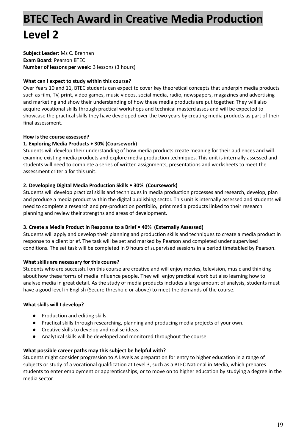### **BTEC Tech Award in Creative Media Production Level 2**

**Subject Leader:** Ms C. Brennan **Exam Board:** Pearson BTEC **Number of lessons per week:** 3 lessons (3 hours)

### **What can I expect to study within this course?**

Over Years 10 and 11, BTEC students can expect to cover key theoretical concepts that underpin media products such as film, TV, print, video games, music videos, social media, radio, newspapers, magazines and advertising and marketing and show their understanding of how these media products are put together. They will also acquire vocational skills through practical workshops and technical masterclasses and will be expected to showcase the practical skills they have developed over the two years by creating media products as part of their final assessment.

### **How is the course assessed?**

### **1. Exploring Media Products • 30% (Coursework)**

Students will develop their understanding of how media products create meaning for their audiences and will examine existing media products and explore media production techniques. This unit is internally assessed and students will need to complete a series of written assignments, presentations and worksheets to meet the assessment criteria for this unit.

### **2. Developing Digital Media Production Skills • 30% (Coursework)**

Students will develop practical skills and techniques in media production processes and research, develop, plan and produce a media product within the digital publishing sector. This unit is internally assessed and students will need to complete a research and pre-production portfolio, print media products linked to their research planning and review their strengths and areas of development.

### **3. Create a Media Product in Response to a Brief • 40% (Externally Assessed)**

Students will apply and develop their planning and production skills and techniques to create a media product in response to a client brief. The task will be set and marked by Pearson and completed under supervised conditions. The set task will be completed in 9 hours of supervised sessions in a period timetabled by Pearson.

### **What skills are necessary for this course?**

Students who are successful on this course are creative and will enjoy movies, television, music and thinking about how these forms of media influence people. They will enjoy practical work but also learning how to analyse media in great detail. As the study of media products includes a large amount of analysis, students must have a good level in English (Secure threshold or above) to meet the demands of the course.

### **What skills will I develop?**

- Production and editing skills.
- Practical skills through researching, planning and producing media projects of your own.
- Creative skills to develop and realise ideas.
- Analytical skills will be developed and monitored throughout the course.

### **What possible career paths may this subject be helpful with?**

Students might consider progression to A Levels as preparation for entry to higher education in a range of subjects or study of a vocational qualification at Level 3, such as a BTEC National in Media, which prepares students to enter employment or apprenticeships, or to move on to higher education by studying a degree in the media sector.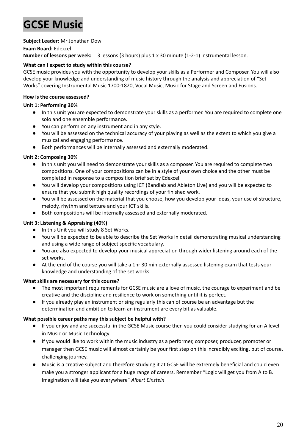### **GCSE Music**

### **Subject Leader:** Mr Jonathan Dow

### **Exam Board:** Edexcel

**Number of lessons per week:** 3 lessons (3 hours) plus 1 x 30 minute (1-2-1) instrumental lesson.

### **What can I expect to study within this course?**

GCSE music provides you with the opportunity to develop your skills as a Performer and Composer. You will also develop your knowledge and understanding of music history through the analysis and appreciation of "Set Works" covering Instrumental Music 1700-1820, Vocal Music, Music for Stage and Screen and Fusions.

### **How is the course assessed?**

### **Unit 1: Performing 30%**

- In this unit you are expected to demonstrate your skills as a performer. You are required to complete one solo and one ensemble performance.
- You can perform on any instrument and in any style.
- You will be assessed on the technical accuracy of your playing as well as the extent to which you give a musical and engaging performance.
- Both performances will be internally assessed and externally moderated.

### **Unit 2: Composing 30%**

- In this unit you will need to demonstrate your skills as a composer. You are required to complete two compositions. One of your compositions can be in a style of your own choice and the other must be completed in response to a composition brief set by Edexcel.
- You will develop your compositions using ICT (Bandlab and Ableton Live) and you will be expected to ensure that you submit high quality recordings of your finished work.
- You will be assessed on the material that you choose, how you develop your ideas, your use of structure, melody, rhythm and texture and your ICT skills.
- Both compositions will be internally assessed and externally moderated.

### **Unit 3: Listening & Appraising (40%)**

- In this Unit you will study 8 Set Works.
- You will be expected to be able to describe the Set Works in detail demonstrating musical understanding and using a wide range of subject specific vocabulary.
- You are also expected to develop your musical appreciation through wider listening around each of the set works.
- At the end of the course you will take a 1hr 30 min externally assessed listening exam that tests your knowledge and understanding of the set works.

### **What skills are necessary for this course?**

- The most important requirements for GCSE music are a love of music, the courage to experiment and be creative and the discipline and resilience to work on something until it is perfect.
- If you already play an instrument or sing regularly this can of course be an advantage but the determination and ambition to learn an instrument are every bit as valuable.

### **What possible career paths may this subject be helpful with?**

- If you enjoy and are successful in the GCSE Music course then you could consider studying for an A level in Music or Music Technology.
- If you would like to work within the music industry as a performer, composer, producer, promoter or manager then GCSE music will almost certainly be your first step on this incredibly exciting, but of course, challenging journey.
- Music is a creative subject and therefore studying it at GCSE will be extremely beneficial and could even make you a stronger applicant for a huge range of careers. Remember "Logic will get you from A to B. Imagination will take you everywhere" *Albert Einstein*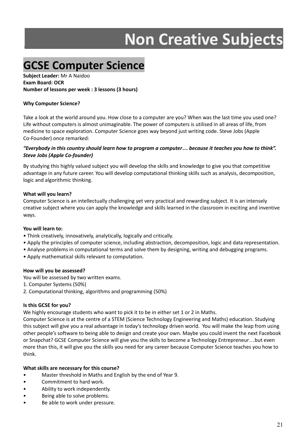# **\_\_\_\_\_\_\_\_\_\_\_ Non Creative Subjects**

### **GCSE Computer Science**

**Subject Leader:** Mr A Naidoo **Exam Board: OCR Number of lessons per week : 3 lessons (3 hours)**

### **Why Computer Science?**

Take a look at the world around you. How close to a computer are you? When was the last time you used one? Life without computers is almost unimaginable. The power of computers is utilised in all areas of life, from medicine to space exploration. Computer Science goes way beyond just writing code. Steve Jobs (Apple Co-Founder) once remarked:

### "Everybody in this country should learn how to program a computer... because it teaches you how to think". *Steve Jobs (Apple Co-founder)*

By studying this highly valued subject you will develop the skills and knowledge to give you that competitive advantage in any future career. You will develop computational thinking skills such as analysis, decomposition, logic and algorithmic thinking.

### **What will you learn?**

Computer Science is an intellectually challenging yet very practical and rewarding subject. It is an intensely creative subject where you can apply the knowledge and skills learned in the classroom in exciting and inventive ways.

### **You will learn to:**

- Think creatively, innovatively, analytically, logically and critically.
- Apply the principles of computer science, including abstraction, decomposition, logic and data representation.
- Analyse problems in computational terms and solve them by designing, writing and debugging programs.
- Apply mathematical skills relevant to computation.

### **How will you be assessed?**

You will be assessed by two written exams.

- 1. Computer Systems (50%)
- 2. Computational thinking, algorithms and programming (50%)

### **Is this GCSE for you?**

We highly encourage students who want to pick it to be in either set 1 or 2 in Maths.

Computer Science is at the centre of a STEM (Science Technology Engineering and Maths) education. Studying this subject will give you a real advantage in today's technology driven world. You will make the leap from using other people's software to being able to design and create your own. Maybe you could invent the next Facebook or Snapchat? GCSE Computer Science will give you the skills to become a Technology Entrepreneur…but even more than this, it will give you the skills you need for any career because Computer Science teaches you how to think.

### **What skills are necessary for this course?**

- Master threshold in Maths and English by the end of Year 9.
- Commitment to hard work.
- Ability to work independently.
- Being able to solve problems.
- Be able to work under pressure.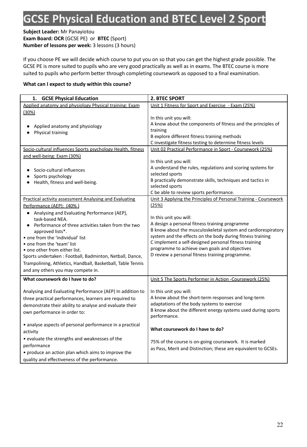### **GCSE Physical Education and BTEC Level 2 Sport**

**Subject Leader:** Mr Panayiotou **Exam Board: OCR** (GCSE PE) or **BTEC** (Sport) **Number of lessons per week:** 3 lessons (3 hours)

If you choose PE we will decide which course to put you on so that you can get the highest grade possible. The GCSE PE is more suited to pupils who are very good practically as well as in exams. The BTEC course is more suited to pupils who perform better through completing coursework as opposed to a final examination.

### **What can I expect to study within this course?**

| <b>GCSE Physical Education</b><br>1.                                                                                                                                                                                                                                                                                                                                                                                                       | 2. BTEC SPORT                                                                                                                                                                                                                                                                                                                                                                 |
|--------------------------------------------------------------------------------------------------------------------------------------------------------------------------------------------------------------------------------------------------------------------------------------------------------------------------------------------------------------------------------------------------------------------------------------------|-------------------------------------------------------------------------------------------------------------------------------------------------------------------------------------------------------------------------------------------------------------------------------------------------------------------------------------------------------------------------------|
| Applied anatomy and physiology Physical training: Exam                                                                                                                                                                                                                                                                                                                                                                                     | Unit 1 Fitness for Sport and Exercise - Exam (25%)                                                                                                                                                                                                                                                                                                                            |
| (30%)<br>Applied anatomy and physiology<br>Physical training                                                                                                                                                                                                                                                                                                                                                                               | In this unit you will:<br>A know about the components of fitness and the principles of<br>training<br>B explore different fitness training methods<br>C investigate fitness testing to determine fitness levels                                                                                                                                                               |
| Socio-cultural influences Sports psychology Health, fitness                                                                                                                                                                                                                                                                                                                                                                                | Unit 02 Practical Performance in Sport - Coursework (25%)                                                                                                                                                                                                                                                                                                                     |
| and well-being: Exam (30%)                                                                                                                                                                                                                                                                                                                                                                                                                 |                                                                                                                                                                                                                                                                                                                                                                               |
| Socio-cultural influences<br>Sports psychology<br>Health, fitness and well-being.                                                                                                                                                                                                                                                                                                                                                          | In this unit you will:<br>A understand the rules, regulations and scoring systems for<br>selected sports<br>B practically demonstrate skills, techniques and tactics in<br>selected sports<br>C be able to review sports performance.                                                                                                                                         |
| <b>Practical activity assessment Analysing and Evaluating</b>                                                                                                                                                                                                                                                                                                                                                                              | Unit 3 Applying the Principles of Personal Training - Coursework                                                                                                                                                                                                                                                                                                              |
| Performance (AEP): (40%)<br>• Analysing and Evaluating Performance (AEP),<br>task-based NEA.<br>Performance of three activities taken from the two<br>approved lists*.<br>• one from the 'individual' list<br>• one from the 'team' list<br>• one other from either list.<br>Sports undertaken : Football, Badminton, Netball, Dance,<br>Trampolining, Athletics, Handball, Basketball, Table Tennis<br>and any others you may compete in. | (25%)<br>In this unit you will:<br>A design a personal fitness training programme<br>B know about the musculoskeletal system and cardiorespiratory<br>system and the effects on the body during fitness training<br>C implement a self-designed personal fitness training<br>programme to achieve own goals and objectives<br>D review a personal fitness training programme. |
| What coursework do I have to do?                                                                                                                                                                                                                                                                                                                                                                                                           | Unit 5 The Sports Performer in Action -Coursework (25%)                                                                                                                                                                                                                                                                                                                       |
| Analysing and Evaluating Performance (AEP) In addition to<br>three practical performances, learners are required to<br>demonstrate their ability to analyse and evaluate their<br>own performance in order to:                                                                                                                                                                                                                             | In this unit you will:<br>A know about the short-term responses and long-term<br>adaptations of the body systems to exercise<br>B know about the different energy systems used during sports<br>performance.                                                                                                                                                                  |
| • analyse aspects of personal performance in a practical<br>activity                                                                                                                                                                                                                                                                                                                                                                       | What coursework do I have to do?                                                                                                                                                                                                                                                                                                                                              |
| • evaluate the strengths and weaknesses of the<br>performance<br>• produce an action plan which aims to improve the<br>quality and effectiveness of the performance.                                                                                                                                                                                                                                                                       | 75% of the course is on-going coursework. It is marked<br>as Pass, Merit and Distinction; these are equivalent to GCSEs.                                                                                                                                                                                                                                                      |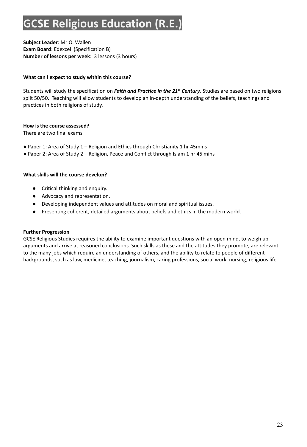### **GCSE Religious Education (R.E.)**

**Subject Leader**: Mr O. Wallen **Exam Board**: Edexcel (Specification B) **Number of lessons per week**: 3 lessons (3 hours)

### **What can I expect to study within this course?**

Students will study the specification on *Faith and Practice in the 21 st Century*. Studies are based on two religions split 50/50. Teaching will allow students to develop an in-depth understanding of the beliefs, teachings and practices in both religions of study.

### **How is the course assessed?**

There are two final exams.

- Paper 1: Area of Study 1 Religion and Ethics through Christianity 1 hr 45mins
- Paper 2: Area of Study 2 Religion, Peace and Conflict through Islam 1 hr 45 mins

### **What skills will the course develop?**

- Critical thinking and enquiry.
- Advocacy and representation.
- Developing independent values and attitudes on moral and spiritual issues.
- Presenting coherent, detailed arguments about beliefs and ethics in the modern world.

### **Further Progression**

GCSE Religious Studies requires the ability to examine important questions with an open mind, to weigh up arguments and arrive at reasoned conclusions. Such skills as these and the attitudes they promote, are relevant to the many jobs which require an understanding of others, and the ability to relate to people of different backgrounds, such as law, medicine, teaching, journalism, caring professions, social work, nursing, religious life.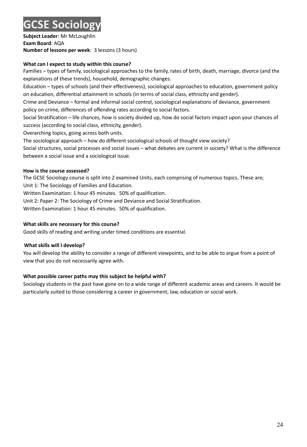### **GCSE Sociology**

**Subject Leader**: Mr McLoughlin **Exam Board**: AQA **Number of lessons per week**: 3 lessons (3 hours)

### **What can I expect to study within this course?**

Families – types of family, sociological approaches to the family, rates of birth, death, marriage, divorce (and the explanations of these trends), household, demographic changes.

Education – types of schools (and their effectiveness), sociological approaches to education, government policy on education, differential attainment in schools (in terms of social class, ethnicity and gender).

Crime and Deviance – formal and informal social control, sociological explanations of deviance, government policy on crime, differences of offending rates according to social factors.

Social Stratification – life chances, how is society divided up, how do social factors impact upon your chances of success (according to social class, ethnicity, gender).

Overarching topics, going across both units.

The sociological approach – how do different sociological schools of thought view society?

Social structures, social processes and social issues – what debates are current in society? What is the difference between a social issue and a sociological issue.

### **How is the course assessed?**

The GCSE Sociology course is split into 2 examined Units, each comprising of numerous topics. These are; Unit 1: The Sociology of Families and Education.

Written Examination: 1 hour 45 minutes. 50% of qualification.

Unit 2: Paper 2: The Sociology of Crime and Deviance and Social Stratification.

Written Examination: 1 hour 45 minutes. 50% of qualification.

### **What skills are necessary for this course?**

Good skills of reading and writing under timed conditions are essential.

### **What skills will I develop?**

You will develop the ability to consider a range of different viewpoints, and to be able to argue from a point of view that you do not necessarily agree with.

### **What possible career paths may this subject be helpful with?**

Sociology students in the past have gone on to a wide range of different academic areas and careers. It would be particularly suited to those considering a career in government, law, education or social work.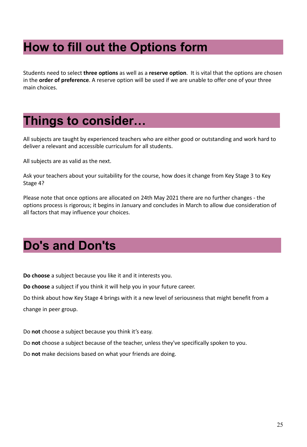### **How to fill out the Options form\_\_\_\_\_\_\_\_\_\_\_**

Students need to select **three options** as well as a **reserve option**. It is vital that the options are chosen in the **order of preference**. A reserve option will be used if we are unable to offer one of your three main choices.

### **Things to consider…\_\_\_\_\_\_\_\_\_\_\_\_\_\_\_\_\_\_ \_**

All subjects are taught by experienced teachers who are either good or outstanding and work hard to deliver a relevant and accessible curriculum for all students.

All subjects are as valid as the next.

Ask your teachers about your suitability for the course, how does it change from Key Stage 3 to Key Stage 4?

Please note that once options are allocated on 24th May 2021 there are no further changes - the options process is rigorous; it begins in January and concludes in March to allow due consideration of all factors that may influence your choices.

### **Do's and Don'ts\_\_\_\_\_\_\_\_\_\_\_\_\_\_\_\_\_\_\_\_\_\_ \_**

**Do choose** a subject because you like it and it interests you.

**Do choose** a subject if you think it will help you in your future career.

Do think about how Key Stage 4 brings with it a new level of seriousness that might benefit from a change in peer group.

Do **not** choose a subject because you think it's easy.

Do **not** choose a subject because of the teacher, unless they've specifically spoken to you.

Do **not** make decisions based on what your friends are doing.